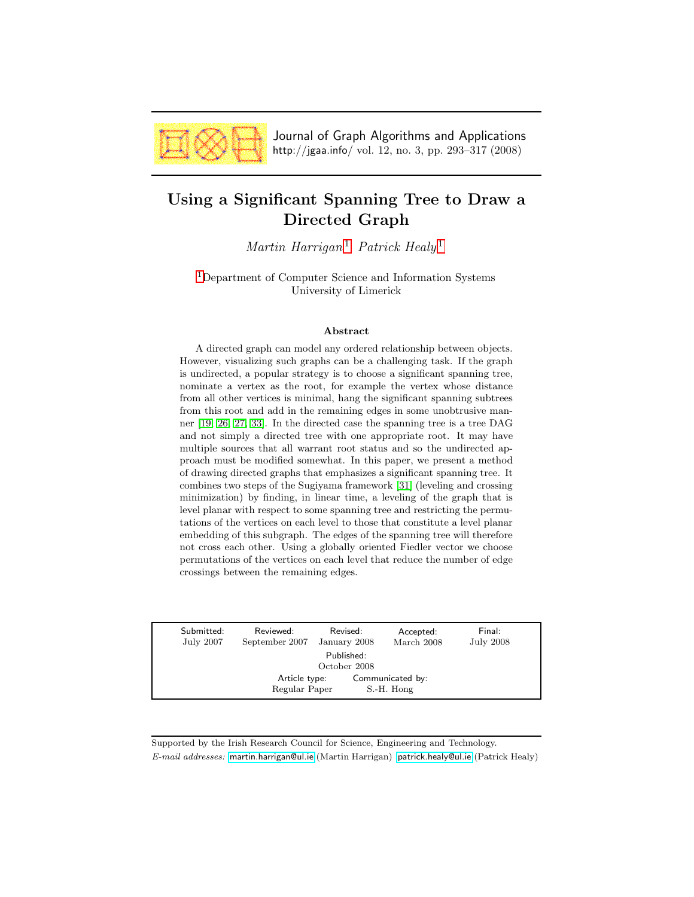

Journal of Graph Algorithms and Applications http://jgaa.info/ vol. 12, no. 3, pp. 293–317 (2008)

# <span id="page-0-0"></span>Using a Significant Spanning Tree to Draw a Directed Graph

Martin Harrigan<sup>[1](#page-0-0)</sup> Patrick Healy<sup>1</sup>

[1](#page-0-0)Department of Computer Science and Information Systems University of Limerick

#### Abstract

A directed graph can model any ordered relationship between objects. However, visualizing such graphs can be a challenging task. If the graph is undirected, a popular strategy is to choose a significant spanning tree, nominate a vertex as the root, for example the vertex whose distance from all other vertices is minimal, hang the significant spanning subtrees from this root and add in the remaining edges in some unobtrusive manner [\[19,](#page-23-0) [26,](#page-23-1) [27,](#page-23-2) [33\]](#page-24-0). In the directed case the spanning tree is a tree DAG and not simply a directed tree with one appropriate root. It may have multiple sources that all warrant root status and so the undirected approach must be modified somewhat. In this paper, we present a method of drawing directed graphs that emphasizes a significant spanning tree. It combines two steps of the Sugiyama framework [\[31\]](#page-24-1) (leveling and crossing minimization) by finding, in linear time, a leveling of the graph that is level planar with respect to some spanning tree and restricting the permutations of the vertices on each level to those that constitute a level planar embedding of this subgraph. The edges of the spanning tree will therefore not cross each other. Using a globally oriented Fiedler vector we choose permutations of the vertices on each level that reduce the number of edge crossings between the remaining edges.

| Submitted:<br>July 2007    | Reviewed:<br>September 2007    | Revised:<br>January 2008 | Accepted:<br>March 2008        | Final:<br><b>July 2008</b> |  |  |  |  |  |  |
|----------------------------|--------------------------------|--------------------------|--------------------------------|----------------------------|--|--|--|--|--|--|
| Published:<br>October 2008 |                                |                          |                                |                            |  |  |  |  |  |  |
|                            | Article type:<br>Regular Paper |                          | Communicated by:<br>S.-H. Hong |                            |  |  |  |  |  |  |

Supported by the Irish Research Council for Science, Engineering and Technology. E-mail addresses: [martin.harrigan@ul.ie](mailto:martin.harrigan@ul.ie) (Martin Harrigan) [patrick.healy@ul.ie](mailto:patrick.healy@ul.ie) (Patrick Healy)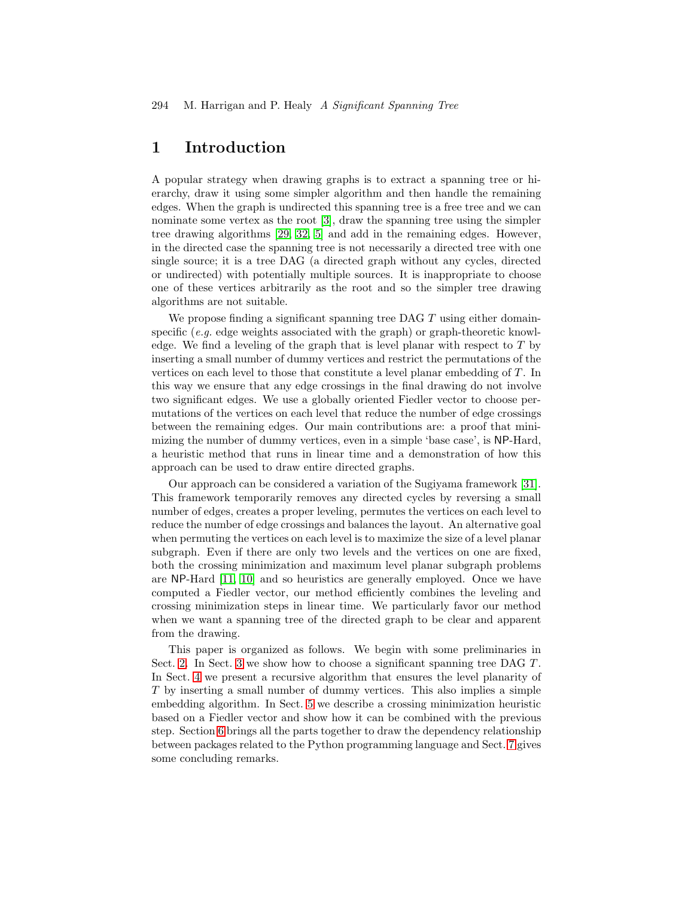## 1 Introduction

A popular strategy when drawing graphs is to extract a spanning tree or hierarchy, draw it using some simpler algorithm and then handle the remaining edges. When the graph is undirected this spanning tree is a free tree and we can nominate some vertex as the root [\[3\]](#page-22-0), draw the spanning tree using the simpler tree drawing algorithms [\[29,](#page-24-2) [32,](#page-24-3) [5\]](#page-22-1) and add in the remaining edges. However, in the directed case the spanning tree is not necessarily a directed tree with one single source; it is a tree DAG (a directed graph without any cycles, directed or undirected) with potentially multiple sources. It is inappropriate to choose one of these vertices arbitrarily as the root and so the simpler tree drawing algorithms are not suitable.

We propose finding a significant spanning tree DAG  $T$  using either domainspecific (e.g. edge weights associated with the graph) or graph-theoretic knowledge. We find a leveling of the graph that is level planar with respect to T by inserting a small number of dummy vertices and restrict the permutations of the vertices on each level to those that constitute a level planar embedding of T. In this way we ensure that any edge crossings in the final drawing do not involve two significant edges. We use a globally oriented Fiedler vector to choose permutations of the vertices on each level that reduce the number of edge crossings between the remaining edges. Our main contributions are: a proof that minimizing the number of dummy vertices, even in a simple 'base case', is NP-Hard, a heuristic method that runs in linear time and a demonstration of how this approach can be used to draw entire directed graphs.

Our approach can be considered a variation of the Sugiyama framework [\[31\]](#page-24-1). This framework temporarily removes any directed cycles by reversing a small number of edges, creates a proper leveling, permutes the vertices on each level to reduce the number of edge crossings and balances the layout. An alternative goal when permuting the vertices on each level is to maximize the size of a level planar subgraph. Even if there are only two levels and the vertices on one are fixed, both the crossing minimization and maximum level planar subgraph problems are NP-Hard [\[11,](#page-22-2) [10\]](#page-22-3) and so heuristics are generally employed. Once we have computed a Fiedler vector, our method efficiently combines the leveling and crossing minimization steps in linear time. We particularly favor our method when we want a spanning tree of the directed graph to be clear and apparent from the drawing.

This paper is organized as follows. We begin with some preliminaries in Sect. [2.](#page-2-0) In Sect. [3](#page-3-0) we show how to choose a significant spanning tree DAG T. In Sect. [4](#page-3-1) we present a recursive algorithm that ensures the level planarity of T by inserting a small number of dummy vertices. This also implies a simple embedding algorithm. In Sect. [5](#page-19-0) we describe a crossing minimization heuristic based on a Fiedler vector and show how it can be combined with the previous step. Section [6](#page-19-1) brings all the parts together to draw the dependency relationship between packages related to the Python programming language and Sect. [7](#page-20-0) gives some concluding remarks.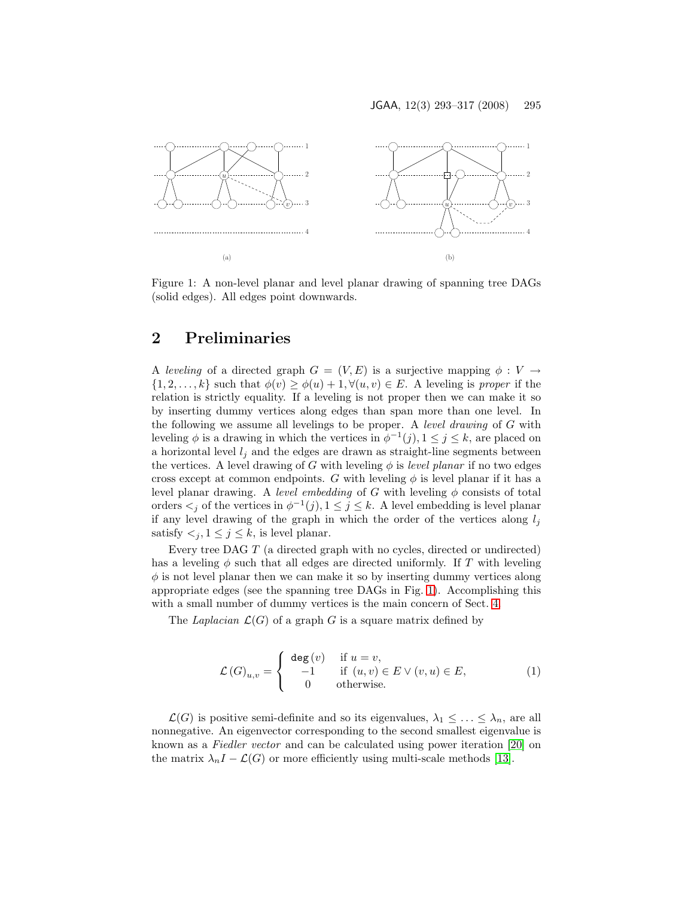

<span id="page-2-1"></span>Figure 1: A non-level planar and level planar drawing of spanning tree DAGs (solid edges). All edges point downwards.

## <span id="page-2-0"></span>2 Preliminaries

A leveling of a directed graph  $G = (V, E)$  is a surjective mapping  $\phi : V \to$  $\{1, 2, \ldots, k\}$  such that  $\phi(v) \geq \phi(u) + 1, \forall (u, v) \in E$ . A leveling is proper if the relation is strictly equality. If a leveling is not proper then we can make it so by inserting dummy vertices along edges than span more than one level. In the following we assume all levelings to be proper. A *level drawing* of  $G$  with leveling  $\phi$  is a drawing in which the vertices in  $\phi^{-1}(j)$ ,  $1 \leq j \leq k$ , are placed on a horizontal level  $l_j$  and the edges are drawn as straight-line segments between the vertices. A level drawing of G with leveling  $\phi$  is *level planar* if no two edges cross except at common endpoints. G with leveling  $\phi$  is level planar if it has a level planar drawing. A level embedding of G with leveling  $\phi$  consists of total orders  $\lt_j$  of the vertices in  $\phi^{-1}(j)$ ,  $1 \leq j \leq k$ . A level embedding is level planar if any level drawing of the graph in which the order of the vertices along  $l_i$ satisfy  $\lt_j, 1 \leq j \leq k$ , is level planar.

Every tree DAG T (a directed graph with no cycles, directed or undirected) has a leveling  $\phi$  such that all edges are directed uniformly. If T with leveling  $\phi$  is not level planar then we can make it so by inserting dummy vertices along appropriate edges (see the spanning tree DAGs in Fig. [1\)](#page-2-1). Accomplishing this with a small number of dummy vertices is the main concern of Sect. [4.](#page-3-1)

The Laplacian  $\mathcal{L}(G)$  of a graph G is a square matrix defined by

$$
\mathcal{L}(G)_{u,v} = \begin{cases} \deg(v) & \text{if } u = v, \\ -1 & \text{if } (u,v) \in E \vee (v,u) \in E, \\ 0 & \text{otherwise.} \end{cases}
$$
 (1)

 $\mathcal{L}(G)$  is positive semi-definite and so its eigenvalues,  $\lambda_1 \leq \ldots \leq \lambda_n$ , are all nonnegative. An eigenvector corresponding to the second smallest eigenvalue is known as a Fiedler vector and can be calculated using power iteration [\[20\]](#page-23-3) on the matrix  $\lambda_n I - \mathcal{L}(G)$  or more efficiently using multi-scale methods [\[13\]](#page-22-4).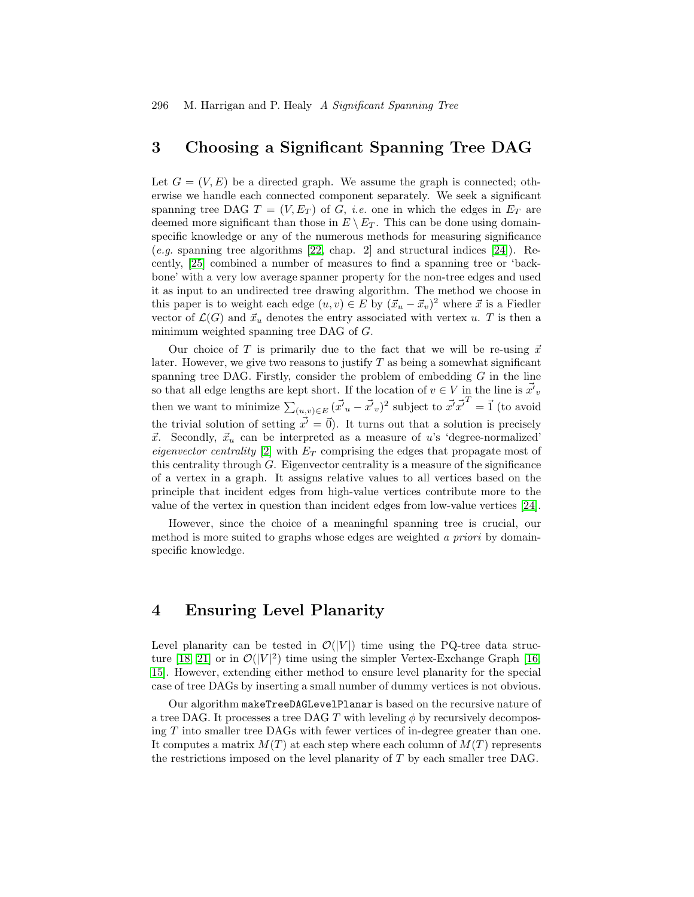296 M. Harrigan and P. Healy A Significant Spanning Tree

## <span id="page-3-0"></span>3 Choosing a Significant Spanning Tree DAG

Let  $G = (V, E)$  be a directed graph. We assume the graph is connected; otherwise we handle each connected component separately. We seek a significant spanning tree DAG  $T = (V, E_T)$  of G, *i.e.* one in which the edges in  $E_T$  are deemed more significant than those in  $E \setminus E_T$ . This can be done using domainspecific knowledge or any of the numerous methods for measuring significance  $(e.g.$  spanning tree algorithms [\[22,](#page-23-4) chap. 2] and structural indices [\[24\]](#page-23-5)). Recently, [\[25\]](#page-23-6) combined a number of measures to find a spanning tree or 'backbone' with a very low average spanner property for the non-tree edges and used it as input to an undirected tree drawing algorithm. The method we choose in this paper is to weight each edge  $(u, v) \in E$  by  $(\vec{x}_u - \vec{x}_v)^2$  where  $\vec{x}$  is a Fiedler vector of  $\mathcal{L}(G)$  and  $\vec{x}_u$  denotes the entry associated with vertex u. T is then a minimum weighted spanning tree DAG of G.

Our choice of T is primarily due to the fact that we will be re-using  $\vec{x}$ later. However, we give two reasons to justify  $T$  as being a somewhat significant spanning tree DAG. Firstly, consider the problem of embedding  $G$  in the line so that all edge lengths are kept short. If the location of  $v \in V$  in the line is  $\vec{x'}_v$ then we want to minimize  $\sum_{(u,v)\in E} (\vec{x'}_u - \vec{x'}_v)^2$  subject to  $\vec{x'} \vec{x'}^T = \vec{1}$  (to avoid the trivial solution of setting  $\vec{x'} = \vec{0}$ . It turns out that a solution is precisely  $\vec{x}$ . Secondly,  $\vec{x}_u$  can be interpreted as a measure of u's 'degree-normalized' eigenvector centrality [\[2\]](#page-22-5) with  $E_T$  comprising the edges that propagate most of this centrality through  $G$ . Eigenvector centrality is a measure of the significance of a vertex in a graph. It assigns relative values to all vertices based on the principle that incident edges from high-value vertices contribute more to the value of the vertex in question than incident edges from low-value vertices [\[24\]](#page-23-5).

However, since the choice of a meaningful spanning tree is crucial, our method is more suited to graphs whose edges are weighted a priori by domainspecific knowledge.

## <span id="page-3-1"></span>4 Ensuring Level Planarity

Level planarity can be tested in  $\mathcal{O}(|V|)$  time using the PQ-tree data struc-ture [\[18,](#page-23-7) [21\]](#page-23-8) or in  $\mathcal{O}(|V|^2)$  time using the simpler Vertex-Exchange Graph [\[16,](#page-23-9) [15\]](#page-23-10). However, extending either method to ensure level planarity for the special case of tree DAGs by inserting a small number of dummy vertices is not obvious.

Our algorithm makeTreeDAGLevelPlanar is based on the recursive nature of a tree DAG. It processes a tree DAG T with leveling  $\phi$  by recursively decomposing T into smaller tree DAGs with fewer vertices of in-degree greater than one. It computes a matrix  $M(T)$  at each step where each column of  $M(T)$  represents the restrictions imposed on the level planarity of T by each smaller tree DAG.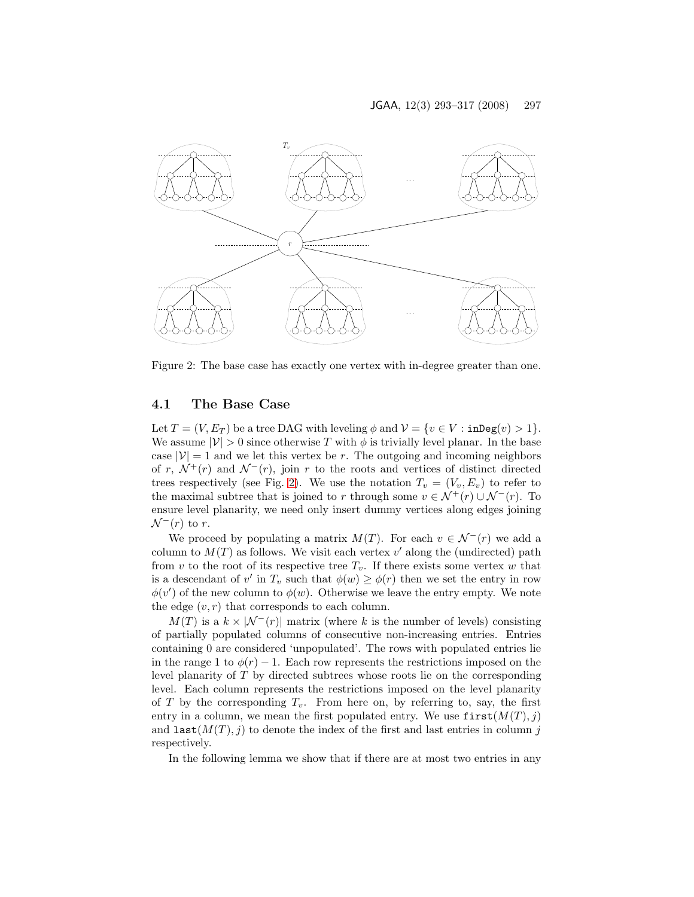

<span id="page-4-0"></span>Figure 2: The base case has exactly one vertex with in-degree greater than one.

#### <span id="page-4-1"></span>4.1 The Base Case

Let  $T = (V, E_T)$  be a tree DAG with leveling  $\phi$  and  $V = \{v \in V : \text{inDeg}(v) > 1\}.$ We assume  $|\mathcal{V}| > 0$  since otherwise T with  $\phi$  is trivially level planar. In the base case  $|V| = 1$  and we let this vertex be r. The outgoing and incoming neighbors of r,  $\mathcal{N}^+(r)$  and  $\mathcal{N}^-(r)$ , join r to the roots and vertices of distinct directed trees respectively (see Fig. [2\)](#page-4-0). We use the notation  $T_v = (V_v, E_v)$  to refer to the maximal subtree that is joined to r through some  $v \in \mathcal{N}^+(r) \cup \mathcal{N}^-(r)$ . To ensure level planarity, we need only insert dummy vertices along edges joining  $\mathcal{N}^-(r)$  to r.

We proceed by populating a matrix  $M(T)$ . For each  $v \in \mathcal{N}^{-1}(r)$  we add a column to  $M(T)$  as follows. We visit each vertex  $v'$  along the (undirected) path from v to the root of its respective tree  $T_v$ . If there exists some vertex w that is a descendant of v' in  $T_v$  such that  $\phi(w) \geq \phi(r)$  then we set the entry in row  $\phi(v')$  of the new column to  $\phi(w)$ . Otherwise we leave the entry empty. We note the edge  $(v, r)$  that corresponds to each column.

 $M(T)$  is a  $k \times |\mathcal{N}^{-}(r)|$  matrix (where k is the number of levels) consisting of partially populated columns of consecutive non-increasing entries. Entries containing 0 are considered 'unpopulated'. The rows with populated entries lie in the range 1 to  $\phi(r) - 1$ . Each row represents the restrictions imposed on the level planarity of T by directed subtrees whose roots lie on the corresponding level. Each column represents the restrictions imposed on the level planarity of T by the corresponding  $T_v$ . From here on, by referring to, say, the first entry in a column, we mean the first populated entry. We use  $first(M(T), j)$ and last $(M(T), j)$  to denote the index of the first and last entries in column j respectively.

In the following lemma we show that if there are at most two entries in any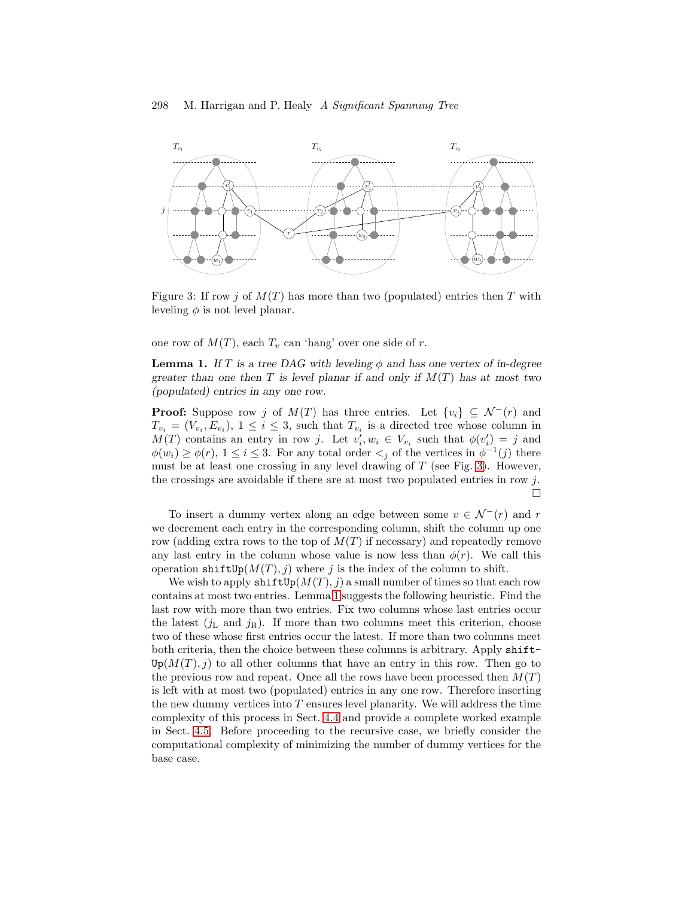

<span id="page-5-0"></span>Figure 3: If row j of  $M(T)$  has more than two (populated) entries then T with leveling  $\phi$  is not level planar.

<span id="page-5-1"></span>one row of  $M(T)$ , each  $T_v$  can 'hang' over one side of r.

**Lemma 1.** If T is a tree DAG with leveling  $\phi$  and has one vertex of in-degree greater than one then T is level planar if and only if  $M(T)$  has at most two (populated) entries in any one row.

**Proof:** Suppose row j of  $M(T)$  has three entries. Let  $\{v_i\} \subseteq \mathcal{N}^{-1}(r)$  and  $T_{v_i} = (V_{v_i}, E_{v_i}), 1 \leq i \leq 3$ , such that  $T_{v_i}$  is a directed tree whose column in  $M(T)$  contains an entry in row j. Let  $v'_i, w_i \in V_{v_i}$  such that  $\phi(v'_i) = j$  and  $\phi(w_i) \geq \phi(r), 1 \leq i \leq 3$ . For any total order  $\lt_j$  of the vertices in  $\phi^{-1}(j)$  there must be at least one crossing in any level drawing of  $T$  (see Fig. [3\)](#page-5-0). However, the crossings are avoidable if there are at most two populated entries in row j. П

To insert a dummy vertex along an edge between some  $v \in \mathcal{N}^{-}(r)$  and r we decrement each entry in the corresponding column, shift the column up one row (adding extra rows to the top of  $M(T)$  if necessary) and repeatedly remove any last entry in the column whose value is now less than  $\phi(r)$ . We call this operation shift  $Up(M(T), i)$  where j is the index of the column to shift.

We wish to apply  $\text{shiftUp}(M(T), i)$  a small number of times so that each row contains at most two entries. Lemma [1](#page-5-1) suggests the following heuristic. Find the last row with more than two entries. Fix two columns whose last entries occur the latest  $(j<sub>L</sub>$  and  $j<sub>R</sub>)$ . If more than two columns meet this criterion, choose two of these whose first entries occur the latest. If more than two columns meet both criteria, then the choice between these columns is arbitrary. Apply shift- $Up(M(T), i)$  to all other columns that have an entry in this row. Then go to the previous row and repeat. Once all the rows have been processed then  $M(T)$ is left with at most two (populated) entries in any one row. Therefore inserting the new dummy vertices into  $T$  ensures level planarity. We will address the time complexity of this process in Sect. [4.4](#page-12-0) and provide a complete worked example in Sect. [4.5.](#page-12-1) Before proceeding to the recursive case, we briefly consider the computational complexity of minimizing the number of dummy vertices for the base case.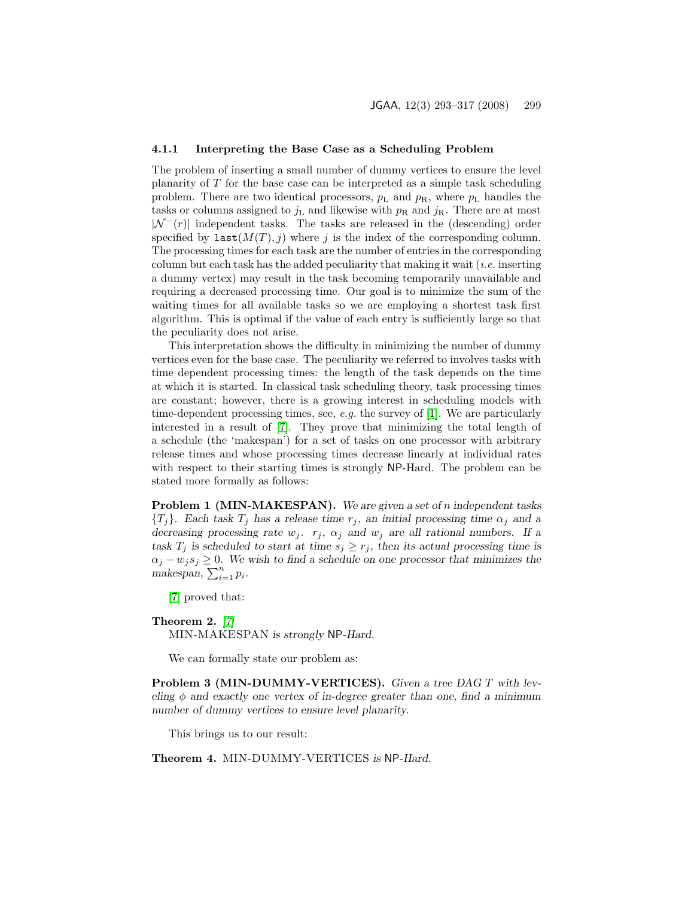#### 4.1.1 Interpreting the Base Case as a Scheduling Problem

The problem of inserting a small number of dummy vertices to ensure the level planarity of  $T$  for the base case can be interpreted as a simple task scheduling problem. There are two identical processors,  $p_L$  and  $p_R$ , where  $p_L$  handles the tasks or columns assigned to  $j_L$  and likewise with  $p_R$  and  $j_R$ . There are at most  $|\mathcal{N}^{-}(r)|$  independent tasks. The tasks are released in the (descending) order specified by  $\texttt{last}(M(T), j)$  where j is the index of the corresponding column. The processing times for each task are the number of entries in the corresponding column but each task has the added peculiarity that making it wait (*i.e.* inserting a dummy vertex) may result in the task becoming temporarily unavailable and requiring a decreased processing time. Our goal is to minimize the sum of the waiting times for all available tasks so we are employing a shortest task first algorithm. This is optimal if the value of each entry is sufficiently large so that the peculiarity does not arise.

This interpretation shows the difficulty in minimizing the number of dummy vertices even for the base case. The peculiarity we referred to involves tasks with time dependent processing times: the length of the task depends on the time at which it is started. In classical task scheduling theory, task processing times are constant; however, there is a growing interest in scheduling models with time-dependent processing times, see, e.g. the survey of [\[1\]](#page-22-6). We are particularly interested in a result of [\[7\]](#page-22-7). They prove that minimizing the total length of a schedule (the 'makespan') for a set of tasks on one processor with arbitrary release times and whose processing times decrease linearly at individual rates with respect to their starting times is strongly NP-Hard. The problem can be stated more formally as follows:

Problem 1 (MIN-MAKESPAN). We are given a set of n independent tasks  ${T<sub>j</sub>}$ . Each task  $T<sub>j</sub>$  has a release time  $r<sub>j</sub>$ , an initial processing time  $\alpha<sub>j</sub>$  and a decreasing processing rate  $w_j$ .  $r_j$ ,  $\alpha_j$  and  $w_j$  are all rational numbers. If a task  $T_j$  is scheduled to start at time  $s_j \geq r_j$ , then its actual processing time is  $\alpha_j - w_j s_j \geq 0$ . We wish to find a schedule on one processor that minimizes the makespan,  $\sum_{i=1}^{n} p_i$ .

[\[7\]](#page-22-7) proved that:

#### Theorem 2. [\[7\]](#page-22-7)

MIN-MAKESPAN is strongly NP-Hard.

We can formally state our problem as:

Problem 3 (MIN-DUMMY-VERTICES). Given a tree DAG T with leveling  $\phi$  and exactly one vertex of in-degree greater than one, find a minimum number of dummy vertices to ensure level planarity.

This brings us to our result:

Theorem 4. MIN-DUMMY-VERTICES is NP-Hard.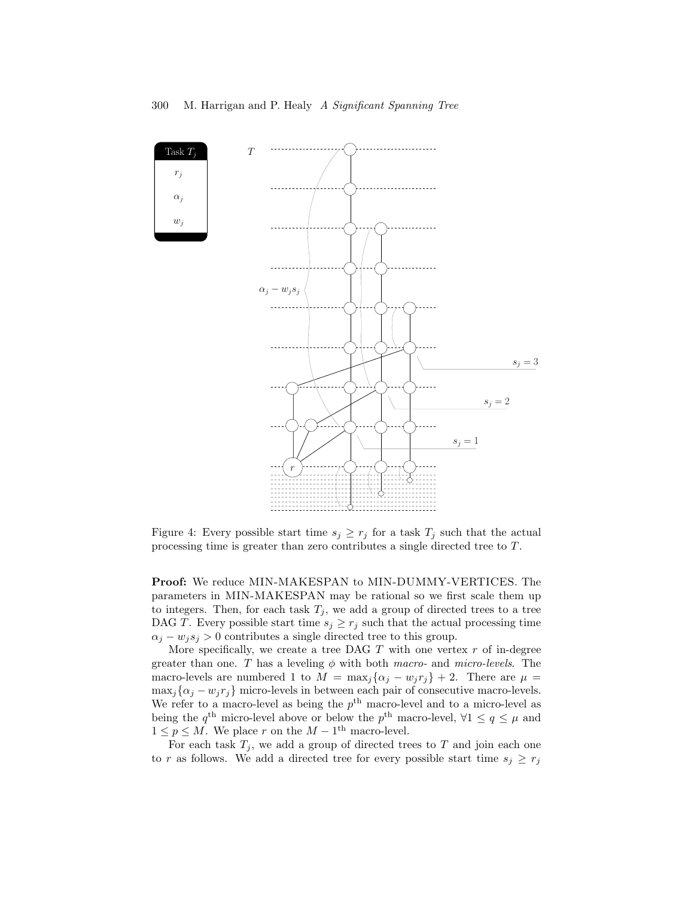

<span id="page-7-0"></span>Figure 4: Every possible start time  $s_j \geq r_j$  for a task  $T_j$  such that the actual processing time is greater than zero contributes a single directed tree to T .

Proof: We reduce MIN-MAKESPAN to MIN-DUMMY-VERTICES. The parameters in MIN-MAKESPAN may be rational so we first scale them up to integers. Then, for each task  $T_j$ , we add a group of directed trees to a tree DAG T. Every possible start time  $s_j \geq r_j$  such that the actual processing time  $\alpha_i - w_i s_j > 0$  contributes a single directed tree to this group.

More specifically, we create a tree DAG  $T$  with one vertex  $r$  of in-degree greater than one. T has a leveling  $\phi$  with both macro- and micro-levels. The macro-levels are numbered 1 to  $M = \max_j {\alpha_j - w_j r_j} + 2$ . There are  $\mu =$  $\max_j {\{\alpha_j - w_j r_j\}}$  micro-levels in between each pair of consecutive macro-levels. We refer to a macro-level as being the  $p<sup>th</sup>$  macro-level and to a micro-level as being the  $q^{\text{th}}$  micro-level above or below the  $p^{\text{th}}$  macro-level,  $\forall 1 \leq q \leq \mu$  and  $1 \leq p \leq M$ . We place r on the  $M-1$ <sup>th</sup> macro-level.

For each task  $T_j$ , we add a group of directed trees to T and join each one to r as follows. We add a directed tree for every possible start time  $s_j \geq r_j$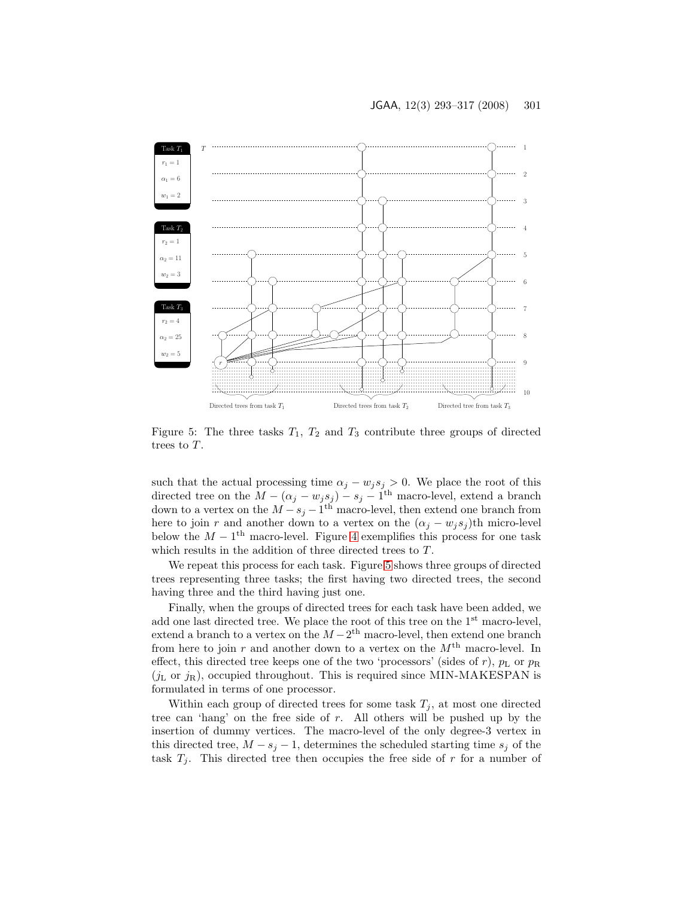

<span id="page-8-0"></span>Figure 5: The three tasks  $T_1$ ,  $T_2$  and  $T_3$  contribute three groups of directed trees to T.

such that the actual processing time  $\alpha_j - w_j s_j > 0$ . We place the root of this directed tree on the  $M - (\alpha_j - w_j s_j) - s_j - 1$ <sup>th</sup> macro-level, extend a branch down to a vertex on the  $M - s_j - 1$ <sup>th</sup> macro-level, then extend one branch from here to join r and another down to a vertex on the  $(\alpha_j - w_j s_j)$ th micro-level below the  $M - 1$ <sup>th</sup> macro-level. Figure [4](#page-7-0) exemplifies this process for one task which results in the addition of three directed trees to  $T$ .

We repeat this process for each task. Figure [5](#page-8-0) shows three groups of directed trees representing three tasks; the first having two directed trees, the second having three and the third having just one.

Finally, when the groups of directed trees for each task have been added, we add one last directed tree. We place the root of this tree on the 1<sup>st</sup> macro-level, extend a branch to a vertex on the  $M - 2<sup>th</sup>$  macro-level, then extend one branch from here to join r and another down to a vertex on the  $M<sup>th</sup>$  macro-level. In effect, this directed tree keeps one of the two 'processors' (sides of r),  $p<sub>L</sub>$  or  $p<sub>R</sub>$  $(j_{\text{L}}$  or  $j_{\text{R}})$ , occupied throughout. This is required since MIN-MAKESPAN is formulated in terms of one processor.

Within each group of directed trees for some task  $T_j$ , at most one directed tree can 'hang' on the free side of r. All others will be pushed up by the insertion of dummy vertices. The macro-level of the only degree-3 vertex in this directed tree,  $M - s_j - 1$ , determines the scheduled starting time  $s_j$  of the task  $T_i$ . This directed tree then occupies the free side of r for a number of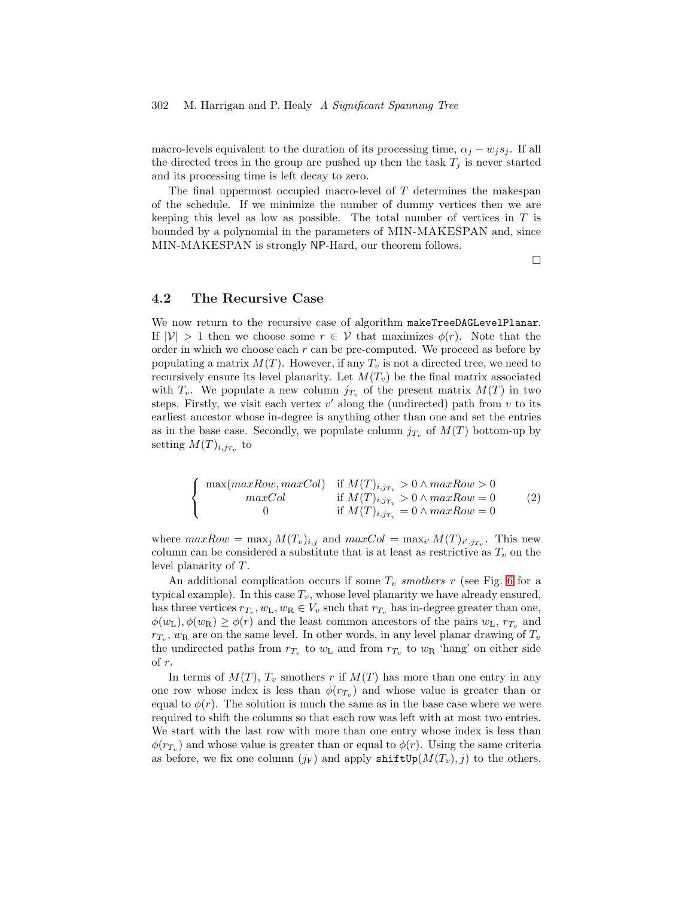#### 302 M. Harrigan and P. Healy A Significant Spanning Tree

macro-levels equivalent to the duration of its processing time,  $\alpha_j - w_j s_j$ . If all the directed trees in the group are pushed up then the task  $T_j$  is never started and its processing time is left decay to zero.

The final uppermost occupied macro-level of  $T$  determines the makespan of the schedule. If we minimize the number of dummy vertices then we are keeping this level as low as possible. The total number of vertices in  $T$  is bounded by a polynomial in the parameters of MIN-MAKESPAN and, since MIN-MAKESPAN is strongly NP-Hard, our theorem follows.

 $\Box$ 

### <span id="page-9-0"></span>4.2 The Recursive Case

We now return to the recursive case of algorithm makeTreeDAGLevelPlanar. If  $|V| > 1$  then we choose some  $r \in V$  that maximizes  $\phi(r)$ . Note that the order in which we choose each  $r$  can be pre-computed. We proceed as before by populating a matrix  $M(T)$ . However, if any  $T_v$  is not a directed tree, we need to recursively ensure its level planarity. Let  $M(T_v)$  be the final matrix associated with  $T_v$ . We populate a new column  $j_{T_v}$  of the present matrix  $M(T)$  in two steps. Firstly, we visit each vertex  $v'$  along the (undirected) path from  $v$  to its earliest ancestor whose in-degree is anything other than one and set the entries as in the base case. Secondly, we populate column  $j_{T_v}$  of  $M(T)$  bottom-up by setting  $M(T)_{i,j_{T_v}}$  to

<span id="page-9-1"></span>
$$
\begin{cases}\n\max(maxRow, maxCol) & \text{if } M(T)_{i,j_{T_v}} > 0 \land maxRow > 0 \\
maxCol & \text{if } M(T)_{i,j_{T_v}} > 0 \land maxRow = 0 \\
0 & \text{if } M(T)_{i,j_{T_v}} = 0 \land maxRow = 0\n\end{cases}
$$
\n(2)

where  $maxRow = \max_j M(T_v)_{i,j}$  and  $maxCol = \max_{i'} M(T)_{i',j_{T_v}}$ . This new column can be considered a substitute that is at least as restrictive as  $T_v$  on the level planarity of T.

An additional complication occurs if some  $T_v$  smothers r (see Fig. [6](#page-10-0) for a typical example). In this case  $T_v$ , whose level planarity we have already ensured, has three vertices  $r_{T_v}, w_{\text{L}}, w_{\text{R}} \in V_v$  such that  $r_{T_v}$  has in-degree greater than one,  $\phi(w_L), \phi(w_R) \ge \phi(r)$  and the least common ancestors of the pairs  $w_L$ ,  $r_{T_v}$  and  $r_{T_v}$ ,  $w_R$  are on the same level. In other words, in any level planar drawing of  $T_v$ the undirected paths from  $r_{T_v}$  to  $w_L$  and from  $r_{T_v}$  to  $w_R$  'hang' on either side of r.

In terms of  $M(T)$ ,  $T_v$  smothers r if  $M(T)$  has more than one entry in any one row whose index is less than  $\phi(r_{T_v})$  and whose value is greater than or equal to  $\phi(r)$ . The solution is much the same as in the base case where we were required to shift the columns so that each row was left with at most two entries. We start with the last row with more than one entry whose index is less than  $\phi(r_{T_v})$  and whose value is greater than or equal to  $\phi(r)$ . Using the same criteria as before, we fix one column  $(j_F)$  and apply shift  $Up(M(T_v), j)$  to the others.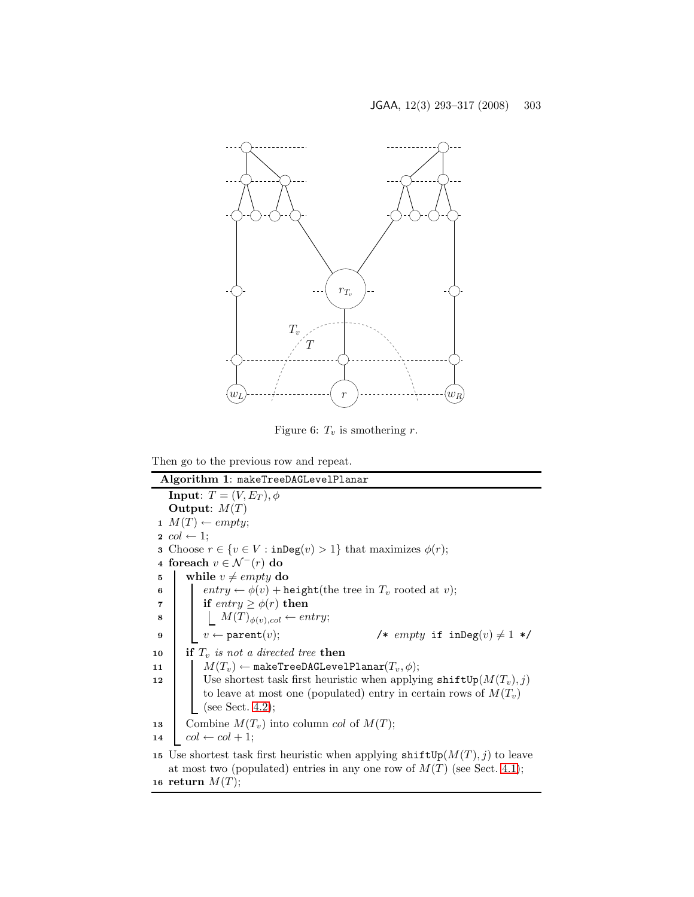

<span id="page-10-0"></span>Figure 6:  $T_v$  is smothering r.

Then go to the previous row and repeat.

<span id="page-10-3"></span><span id="page-10-2"></span><span id="page-10-1"></span>Algorithm 1: makeTreeDAGLevelPlanar **Input:**  $T = (V, E_T), \phi$ Output:  $M(T)$ 1  $M(T) \leftarrow empty;$ 2  $col \leftarrow 1$ ; **3** Choose  $r \in \{v \in V : \text{inDeg}(v) > 1\}$  that maximizes  $\phi(r)$ ; 4 foreach  $v \in \mathcal{N}^-(r)$  do 5 while  $v \neq empty$  do 6 entry  $\leftarrow \phi(v)$  + height(the tree in  $T_v$  rooted at v); 7 if  $entry \geq \phi(r)$  then 8  $\bigcup M(T)_{\phi(v),col} \leftarrow entry;$ 9  $\vert \vert v \leftarrow \texttt{parent}(v);$  /\*  $empty \text{ if } \texttt{inDeg}(v) \neq 1 \text{ */}$ 10 if  $T_v$  is not a directed tree then 11  $M(T_v) \leftarrow$  makeTreeDAGLevelPlanar $(T_v, \phi)$ ; 12 | Use shortest task first heuristic when applying  $\text{shiftUp}(M(T_v), j)$ to leave at most one (populated) entry in certain rows of  $M(T_v)$ (see Sect. [4.2\)](#page-9-0); 13 Combine  $M(T_v)$  into column *col* of  $M(T)$ ; 14  $col \leftarrow col + 1;$ 15 Use shortest task first heuristic when applying  $\text{shiftUp}(M(T), j)$  to leave at most two (populated) entries in any one row of  $M(T)$  (see Sect. [4.1\)](#page-4-1); 16 return  $M(T)$ ;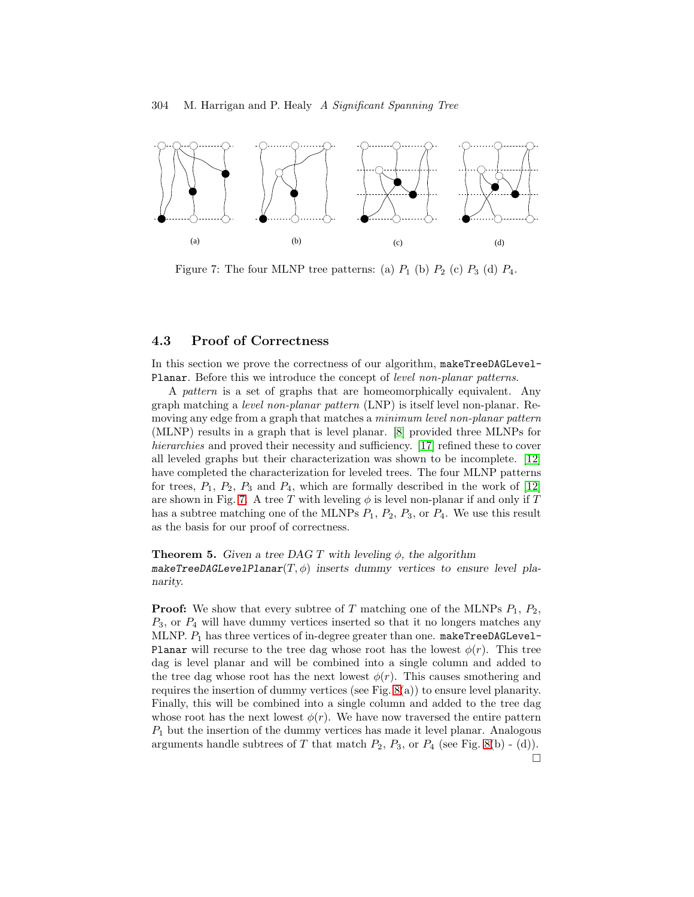#### 304 M. Harrigan and P. Healy A Significant Spanning Tree



<span id="page-11-0"></span>Figure 7: The four MLNP tree patterns: (a)  $P_1$  (b)  $P_2$  (c)  $P_3$  (d)  $P_4$ .

#### 4.3 Proof of Correctness

In this section we prove the correctness of our algorithm, makeTreeDAGLevel-Planar. Before this we introduce the concept of level non-planar patterns.

A pattern is a set of graphs that are homeomorphically equivalent. Any graph matching a level non-planar pattern (LNP) is itself level non-planar. Removing any edge from a graph that matches a *minimum level non-planar pattern* (MLNP) results in a graph that is level planar. [\[8\]](#page-22-8) provided three MLNPs for hierarchies and proved their necessity and sufficiency. [\[17\]](#page-23-11) refined these to cover all leveled graphs but their characterization was shown to be incomplete. [\[12\]](#page-22-9) have completed the characterization for leveled trees. The four MLNP patterns for trees,  $P_1$ ,  $P_2$ ,  $P_3$  and  $P_4$ , which are formally described in the work of [\[12\]](#page-22-9) are shown in Fig. [7.](#page-11-0) A tree T with leveling  $\phi$  is level non-planar if and only if T has a subtree matching one of the MLNPs  $P_1$ ,  $P_2$ ,  $P_3$ , or  $P_4$ . We use this result as the basis for our proof of correctness.

**Theorem 5.** Given a tree DAG T with leveling  $\phi$ , the algorithm makeTreeDAGLevelPlanar $(T, \phi)$  inserts dummy vertices to ensure level planarity.

**Proof:** We show that every subtree of T matching one of the MLNPs  $P_1$ ,  $P_2$ ,  $P_3$ , or  $P_4$  will have dummy vertices inserted so that it no longers matches any MLNP.  $P_1$  has three vertices of in-degree greater than one. makeTreeDAGLevel-Planar will recurse to the tree dag whose root has the lowest  $\phi(r)$ . This tree dag is level planar and will be combined into a single column and added to the tree dag whose root has the next lowest  $\phi(r)$ . This causes smothering and requires the insertion of dummy vertices (see Fig.  $(8(a))$ ) to ensure level planarity. Finally, this will be combined into a single column and added to the tree dag whose root has the next lowest  $\phi(r)$ . We have now traversed the entire pattern  $P_1$  but the insertion of the dummy vertices has made it level planar. Analogous arguments handle subtrees of T that match  $P_2$ ,  $P_3$ , or  $P_4$  (see Fig. [8\(](#page-12-2)b) - (d)).  $\Box$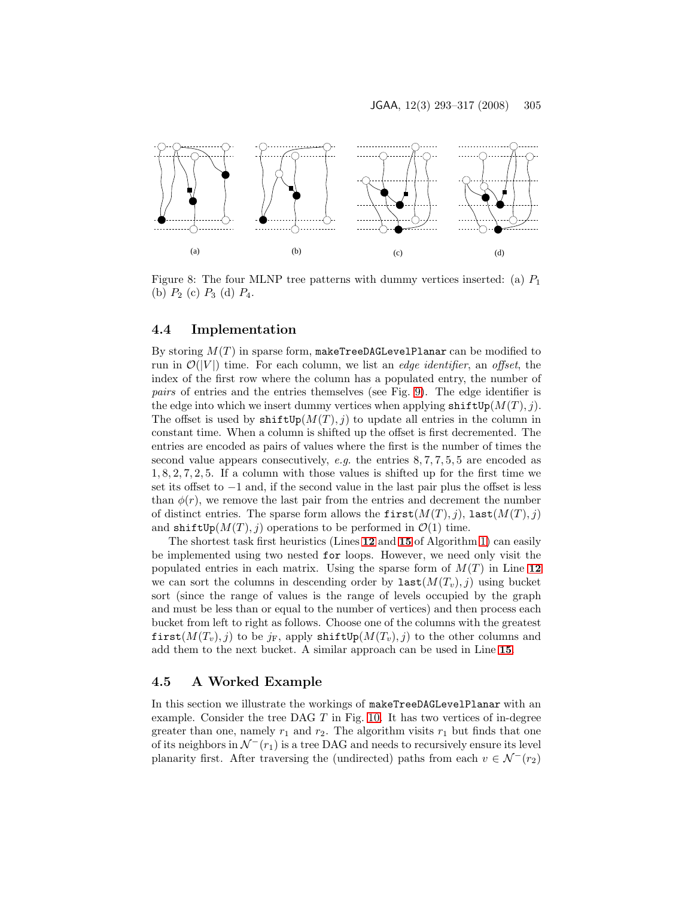

<span id="page-12-2"></span>Figure 8: The four MLNP tree patterns with dummy vertices inserted: (a)  $P_1$ (b)  $P_2$  (c)  $P_3$  (d)  $P_4$ .

### <span id="page-12-0"></span>4.4 Implementation

By storing  $M(T)$  in sparse form, makeTreeDAGLevelPlanar can be modified to run in  $\mathcal{O}(|V|)$  time. For each column, we list an *edge identifier*, an *offset*, the index of the first row where the column has a populated entry, the number of pairs of entries and the entries themselves (see Fig. [9\)](#page-13-0). The edge identifier is the edge into which we insert dummy vertices when applying  $\texttt{shiftUp}(M(T), j)$ . The offset is used by  $\text{shiftUp}(M(T), i)$  to update all entries in the column in constant time. When a column is shifted up the offset is first decremented. The entries are encoded as pairs of values where the first is the number of times the second value appears consecutively, e.g. the entries  $8, 7, 7, 5, 5$  are encoded as  $1, 8, 2, 7, 2, 5$ . If a column with those values is shifted up for the first time we set its offset to −1 and, if the second value in the last pair plus the offset is less than  $\phi(r)$ , we remove the last pair from the entries and decrement the number of distinct entries. The sparse form allows the  $first(M(T), i)$ , last $(M(T), i)$ and shiftUp( $M(T), j$ ) operations to be performed in  $\mathcal{O}(1)$  time.

The shortest task first heuristics (Lines [12](#page-10-1) and [15](#page-10-2) of Algorithm [1\)](#page-10-3) can easily be implemented using two nested for loops. However, we need only visit the populated entries in each matrix. Using the sparse form of  $M(T)$  in Line [12](#page-10-1) we can sort the columns in descending order by  $\texttt{last}(M(T_v), j)$  using bucket sort (since the range of values is the range of levels occupied by the graph and must be less than or equal to the number of vertices) and then process each bucket from left to right as follows. Choose one of the columns with the greatest first( $M(T_v)$ , j) to be j<sub>F</sub>, apply shiftUp( $M(T_v)$ , j) to the other columns and add them to the next bucket. A similar approach can be used in Line [15](#page-10-2).

### <span id="page-12-1"></span>4.5 A Worked Example

In this section we illustrate the workings of makeTreeDAGLevelPlanar with an example. Consider the tree DAG T in Fig. [10.](#page-14-0) It has two vertices of in-degree greater than one, namely  $r_1$  and  $r_2$ . The algorithm visits  $r_1$  but finds that one of its neighbors in  $\mathcal{N}^-(r_1)$  is a tree DAG and needs to recursively ensure its level planarity first. After traversing the (undirected) paths from each  $v \in \mathcal{N}^{-}(r_2)$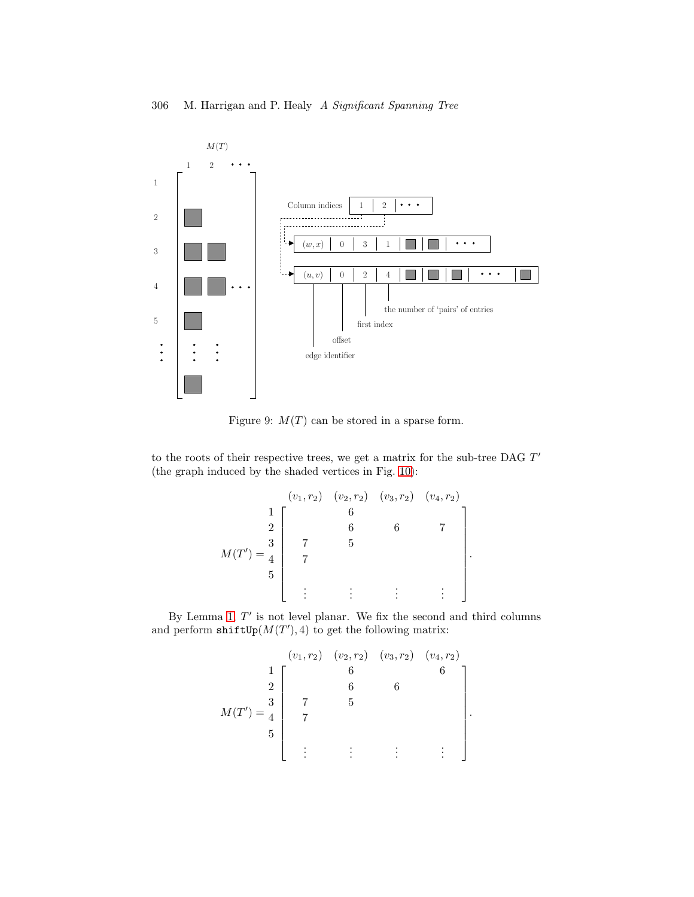

<span id="page-13-0"></span>Figure 9:  $M(T)$  can be stored in a sparse form.

to the roots of their respective trees, we get a matrix for the sub-tree DAG T' (the graph induced by the shaded vertices in Fig. [10\)](#page-14-0):

$$
M(T') = \begin{bmatrix} (v_1, r_2) & (v_2, r_2) & (v_3, r_2) & (v_4, r_2) \\ 1 & 6 & 6 & 7 \\ 2 & 6 & 6 & 7 \\ 7 & 5 & 5 & 8 \\ 5 & 7 & 5 & 10 \\ 10 & 10 & 10 & 10 \\ 21 & 10 & 10 & 10 \\ 31 & 10 & 10 & 10 \\ 11 & 10 & 10 & 10 \\ 12 & 10 & 10 & 10 \\ 13 & 10 & 10 & 10 \\ 14 & 10 & 10 & 10 \\ 15 & 10 & 10 & 10 \\ 16 & 10 & 10 & 10 \\ 17 & 10 & 10 & 10 \\ 18 & 10 & 10 & 10 \\ 19 & 10 & 10 & 10 \\ 10 & 10 & 10 & 10 \\ 11 & 10 & 10 & 10 \\ 12 & 10 & 10 & 10 \\ 13 & 10 & 10 & 10 \\ 14 & 10 & 10 & 10 \\ 15 & 10 & 10 & 10 \\ 16 & 10 & 10 & 10 \\ 17 & 10 & 10 & 10 \\ 18 & 10 & 10 & 10 \\ 19 & 10 & 10 & 10 \\ 19 & 10 & 10 & 10 \\ 10 & 10 & 10 & 10 \\ 11 & 10 & 10 & 10 \\ 12 & 10 & 10 & 10 \\ 13 & 10 & 10 & 10 \\ 14 & 10 & 10 & 10 \\ 15 & 10 & 10 & 10 \\ 16 & 10 & 10 & 10 \\ 17 & 10 & 10 & 10 \\ 18 & 10 & 10 & 10 \\ 19 & 10 & 10 & 10 \\ 19 & 10 & 10 & 10 \\ 10 & 10 & 10 & 10 \\ 11 & 10 & 10 & 10 \\ 12 & 10 & 10 & 10 \\ 13 & 10 & 10 & 10 \\ 16 & 10 & 10 & 10 \\ 19 & 10 & 10 & 10 \\ 10 & 10 & 10 & 10 \\ 11 &
$$

.

.

By Lemma [1,](#page-5-1)  $T'$  is not level planar. We fix the second and third columns and perform  $\texttt{shiftUp}(M(T'), 4)$  to get the following matrix:

$$
M(T') = \begin{bmatrix} (v_1, r_2) & (v_2, r_2) & (v_3, r_2) & (v_4, r_2) \\ 1 & 6 & 6 \\ 2 & 6 & 6 \\ 7 & 5 & 5 \end{bmatrix}
$$
  

$$
M(T') = \begin{bmatrix} 6 & 6 \\ 4 & 7 \\ 5 & 5 \end{bmatrix}
$$
  

$$
\vdots \qquad \vdots \qquad \vdots \qquad \vdots \qquad \vdots \qquad \vdots
$$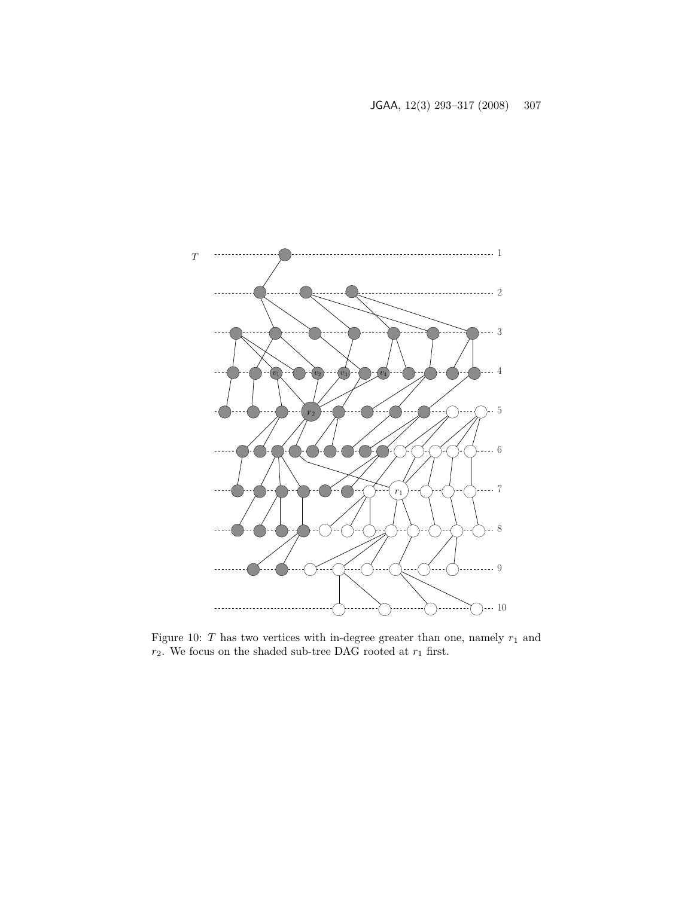

<span id="page-14-0"></span>Figure 10:  $T$  has two vertices with in-degree greater than one, namely  $r_1$  and  $r_2$  . We focus on the shaded sub-tree DAG rooted at  $r_1$  first.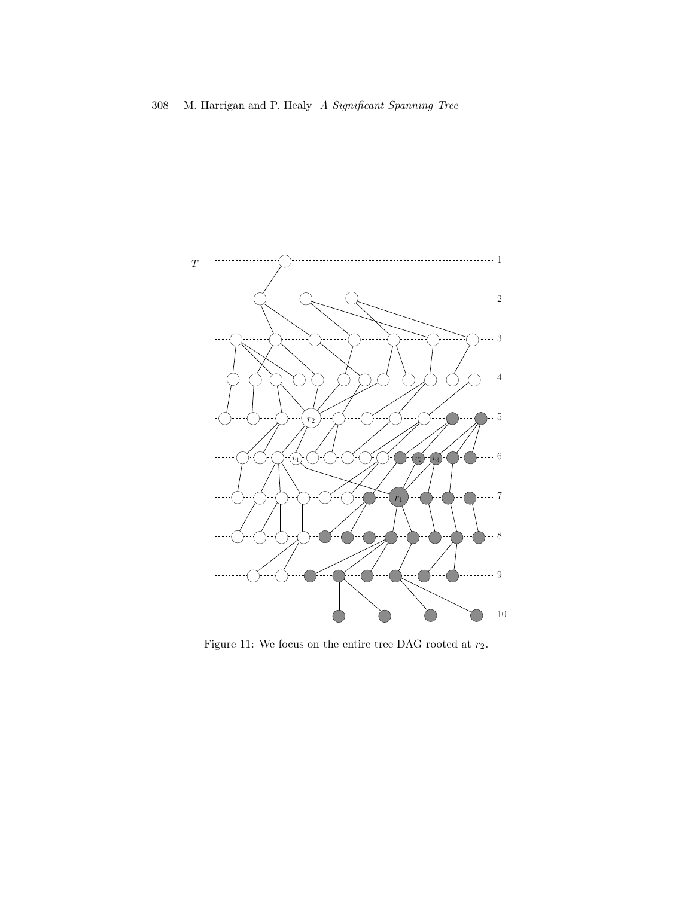

<span id="page-15-0"></span>Figure 11: We focus on the entire tree DAG rooted at  $r_2.$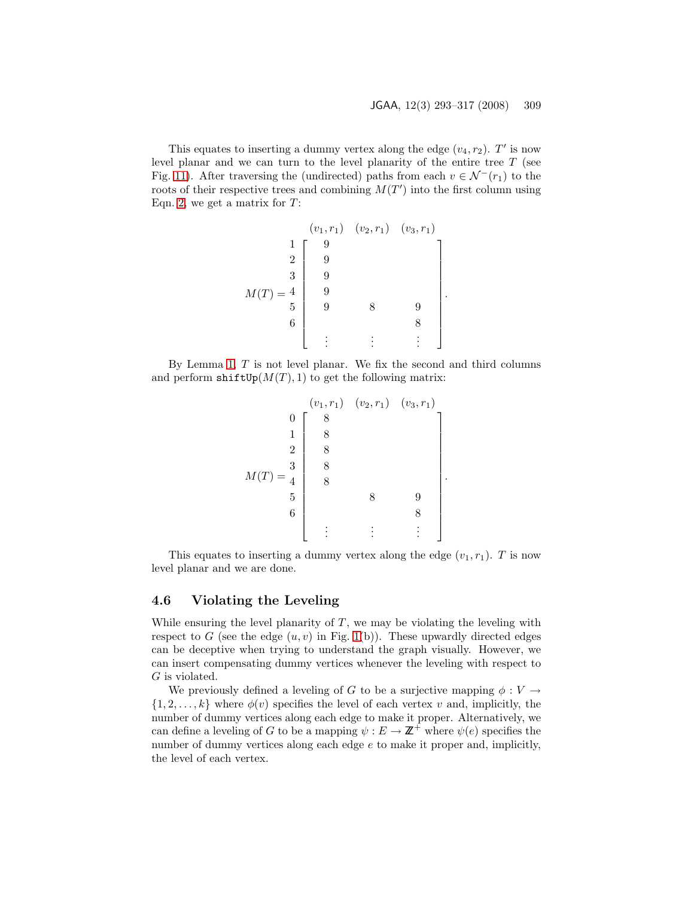.

.

This equates to inserting a dummy vertex along the edge  $(v_4, r_2)$ . T' is now level planar and we can turn to the level planarity of the entire tree  $T$  (see Fig. [11\)](#page-15-0). After traversing the (undirected) paths from each  $v \in \mathcal{N}^{-1}(r_1)$  to the roots of their respective trees and combining  $M(T')$  into the first column using Eqn. [2,](#page-9-1) we get a matrix for  $T$ :

M(T ) = (v1, r1) (v2, r1) (v3, r1) 1 9 2 9 3 9 4 9 5 9 8 9 6 8 . . . . . . . . . 

By Lemma [1,](#page-5-1) T is not level planar. We fix the second and third columns and perform  $\text{shiftUp}(M(T), 1)$  to get the following matrix:

$$
M(T) = \begin{bmatrix} (v_1, r_1) & (v_2, r_1) & (v_3, r_1) \\ 0 & 8 & 1 & 8 \\ 2 & 8 & 8 & 8 \\ 5 & 8 & 8 & 9 \\ 6 & 2 & 8 & 8 \\ 10 & 8 & 8 & 9 \\ 6 & 10 & 8 & 8 \\ 10 & 10 & 8 & 8 \\ 10 & 10 & 8 & 8 \\ 10 & 10 & 10 & 8 \\ 10 & 10 & 10 & 10 \\ 10 & 10 & 10 & 10 \\ 11 & 10 & 10 & 10 \\ 11 & 10 & 10 & 10 \\ 12 & 10 & 10 & 10 \\ 13 & 10 & 10 & 10 \\ 14 & 10 & 10 & 10 \\ 15 & 10 & 10 & 10 \\ 16 & 10 & 10 & 10 \\ 17 & 10 & 10 & 10 \\ 18 & 10 & 10 & 10 \\ 19 & 10 & 10 & 10 \\ 10 & 10 & 10 & 10 \\ 11 & 10 & 10 & 10 \\ 13 & 10 & 10 & 10 \\ 14 & 10 & 10 & 10 \\ 15 & 10 & 10 & 10 \\ 16 & 10 & 10 & 10 \\ 17 & 10 & 10 & 10 \\ 18 & 10 & 10 & 10 \\ 19 & 10 & 10 & 10 \\ 10 & 10 & 10 & 10 \\ 11 & 10 & 10 & 10 \\ 12 & 10 & 10 & 10 \\ 13 & 10 & 10 & 10 \\ 14 & 10 & 10 & 10 \\ 15 & 10 & 10 & 10 \\ 16 & 10 & 10 & 10 \\ 17 & 10 & 10 & 10 \\ 18 & 10 & 10 & 10 \\ 19 & 10 & 10 & 10 \\ 10 & 10 & 10 & 10 \\ 11 & 10 & 10 & 10 \\ 12 & 10 & 10 & 10 \\ 13 & 10 & 10 & 10 \\ 16 & 10 & 10 & 10 \\ 17 & 10 & 10 & 10 \\ 18 & 10 & 1
$$

This equates to inserting a dummy vertex along the edge  $(v_1, r_1)$ . T is now level planar and we are done.

#### <span id="page-16-0"></span>4.6 Violating the Leveling

While ensuring the level planarity of  $T$ , we may be violating the leveling with respect to G (see the edge  $(u, v)$  in Fig. [1\(](#page-2-1)b)). These upwardly directed edges can be deceptive when trying to understand the graph visually. However, we can insert compensating dummy vertices whenever the leveling with respect to G is violated.

We previously defined a leveling of G to be a surjective mapping  $\phi: V \to$  $\{1, 2, \ldots, k\}$  where  $\phi(v)$  specifies the level of each vertex v and, implicitly, the number of dummy vertices along each edge to make it proper. Alternatively, we can define a leveling of G to be a mapping  $\psi : E \to \mathbb{Z}^+$  where  $\psi(e)$  specifies the number of dummy vertices along each edge  $e$  to make it proper and, implicitly, the level of each vertex.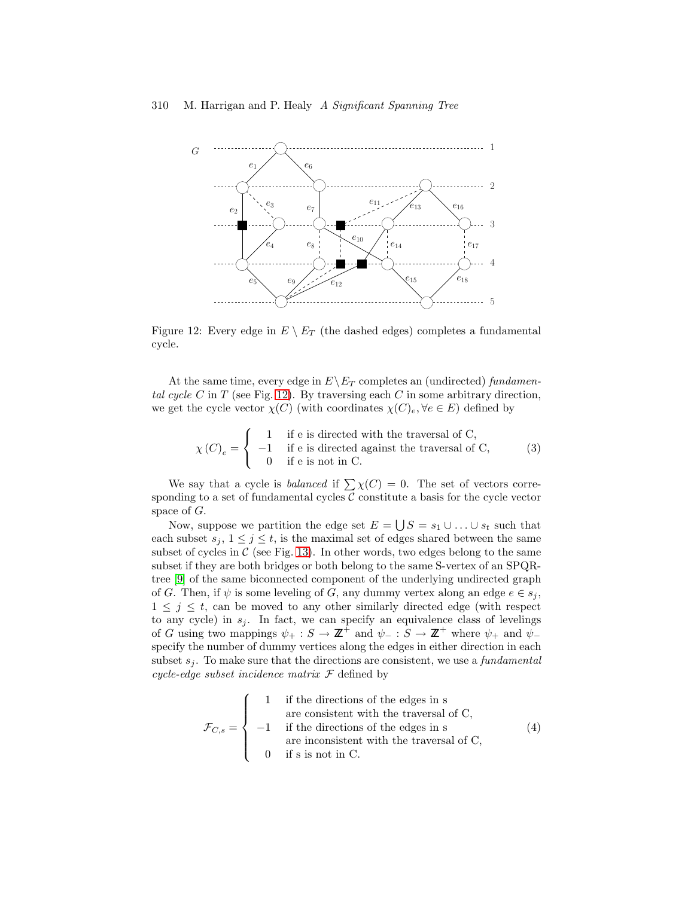

<span id="page-17-0"></span>Figure 12: Every edge in  $E \setminus E_T$  (the dashed edges) completes a fundamental cycle.

At the same time, every edge in  $E\backslash E_T$  completes an (undirected) fundamen-tal cycle C in T (see Fig. [12\)](#page-17-0). By traversing each C in some arbitrary direction, we get the cycle vector  $\chi(C)$  (with coordinates  $\chi(C)_e, \forall e \in E$ ) defined by

$$
\chi(C)_e = \begin{cases}\n1 & \text{if } e \text{ is directed with the traversal of C,} \\
-1 & \text{if } e \text{ is directed against the traversal of C,} \\
0 & \text{if } e \text{ is not in C.}\n\end{cases}
$$
\n(3)

We say that a cycle is *balanced* if  $\sum \chi(C) = 0$ . The set of vectors corresponding to a set of fundamental cycles  $C$  constitute a basis for the cycle vector space of G.

Now, suppose we partition the edge set  $E = \bigcup S = s_1 \cup \ldots \cup s_t$  such that each subset  $s_j, 1 \leq j \leq t$ , is the maximal set of edges shared between the same subset of cycles in  $\mathcal C$  (see Fig. [13\)](#page-18-0). In other words, two edges belong to the same subset if they are both bridges or both belong to the same S-vertex of an SPQRtree [\[9\]](#page-22-10) of the same biconnected component of the underlying undirected graph of G. Then, if  $\psi$  is some leveling of G, any dummy vertex along an edge  $e \in s_i$ ,  $1 \leq j \leq t$ , can be moved to any other similarly directed edge (with respect to any cycle) in  $s_j$ . In fact, we can specify an equivalence class of levelings of G using two mappings  $\psi_+ : S \to \mathbb{Z}^+$  and  $\psi_- : S \to \mathbb{Z}^+$  where  $\psi_+$  and  $\psi_$ specify the number of dummy vertices along the edges in either direction in each subset  $s_i$ . To make sure that the directions are consistent, we use a *fundamental* cycle-edge subset incidence matrix  $\mathcal F$  defined by

$$
\mathcal{F}_{C,s} = \begin{cases}\n1 & \text{if the directions of the edges in s} \\
\text{are consistent with the traversal of C,} \\
-1 & \text{if the directions of the edges in s} \\
\text{are inconsistent with the traversal of C,} \\
0 & \text{if s is not in C.}\n\end{cases}\n\tag{4}
$$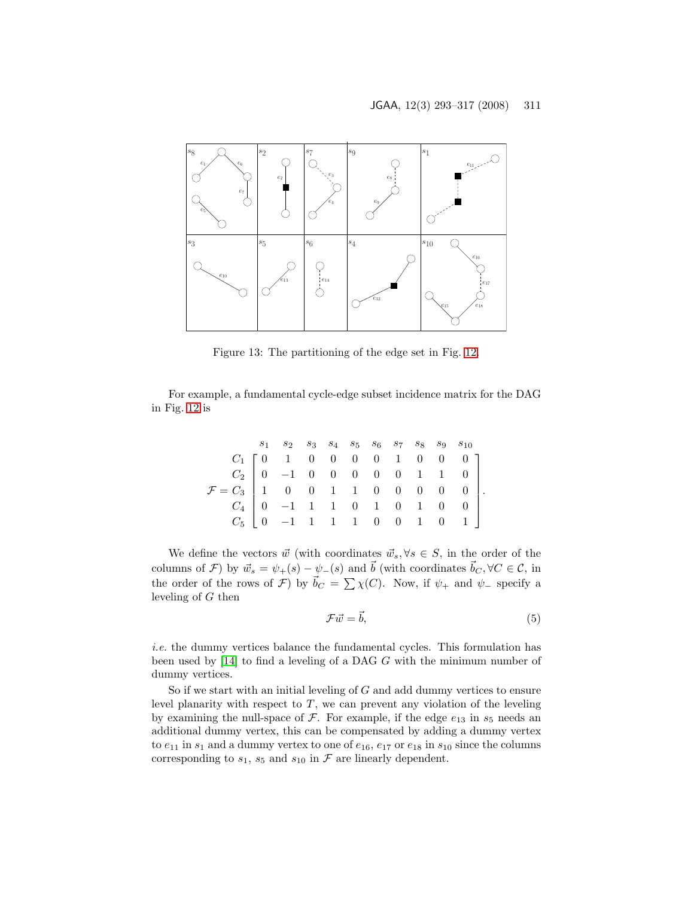

<span id="page-18-0"></span>Figure 13: The partitioning of the edge set in Fig. [12.](#page-17-0)

For example, a fundamental cycle-edge subset incidence matrix for the DAG in Fig. [12](#page-17-0) is

|                                                                                                                                                                                                                                                                                                    |  |  |  |  | $\begin{array}{cccccccccc} s_1 & s_2 & s_3 & s_4 & s_5 & s_6 & s_7 & s_8 & s_9 & s_{10} \end{array}$ |  |
|----------------------------------------------------------------------------------------------------------------------------------------------------------------------------------------------------------------------------------------------------------------------------------------------------|--|--|--|--|------------------------------------------------------------------------------------------------------|--|
|                                                                                                                                                                                                                                                                                                    |  |  |  |  |                                                                                                      |  |
| $\label{eq:2.1} \mathcal{F} = \begin{bmatrix} C_1 & 0 & 1 & 0 & 0 & 0 & 0 & 1 & 0 & 0 & 0 \\ C_2 & 0 & -1 & 0 & 0 & 0 & 0 & 0 & 1 & 1 & 0 \\ 1 & 0 & 0 & 1 & 1 & 0 & 0 & 0 & 0 & 0 \\ C_4 & 0 & -1 & 1 & 1 & 0 & 1 & 0 & 1 & 0 & 0 \\ C_5 & 0 & -1 & 1 & 1 & 1 & 0 & 0 & 1 & 0 & 1 \end{bmatrix}.$ |  |  |  |  |                                                                                                      |  |
|                                                                                                                                                                                                                                                                                                    |  |  |  |  |                                                                                                      |  |
|                                                                                                                                                                                                                                                                                                    |  |  |  |  |                                                                                                      |  |
|                                                                                                                                                                                                                                                                                                    |  |  |  |  |                                                                                                      |  |

We define the vectors  $\vec{w}$  (with coordinates  $\vec{w}_s, \forall s \in S$ , in the order of the columns of F) by  $\vec{w}_s = \psi_+(s) - \psi_-(s)$  and  $\vec{b}$  (with coordinates  $\vec{b}_C, \forall C \in \mathcal{C}$ , in the order of the rows of  $\mathcal{F}$ ) by  $\vec{b}_C = \sum \chi(C)$ . Now, if  $\psi_+$  and  $\psi_-$  specify a leveling of G then

$$
\mathcal{F}\vec{w} = \vec{b},\tag{5}
$$

i.e. the dummy vertices balance the fundamental cycles. This formulation has been used by [\[14\]](#page-23-12) to find a leveling of a DAG G with the minimum number of dummy vertices.

So if we start with an initial leveling of  $G$  and add dummy vertices to ensure level planarity with respect to  $T$ , we can prevent any violation of the leveling by examining the null-space of  $\mathcal F$ . For example, if the edge  $e_{13}$  in  $s_5$  needs an additional dummy vertex, this can be compensated by adding a dummy vertex to  $e_{11}$  in  $s_1$  and a dummy vertex to one of  $e_{16}$ ,  $e_{17}$  or  $e_{18}$  in  $s_{10}$  since the columns corresponding to  $s_1$ ,  $s_5$  and  $s_{10}$  in  $\mathcal F$  are linearly dependent.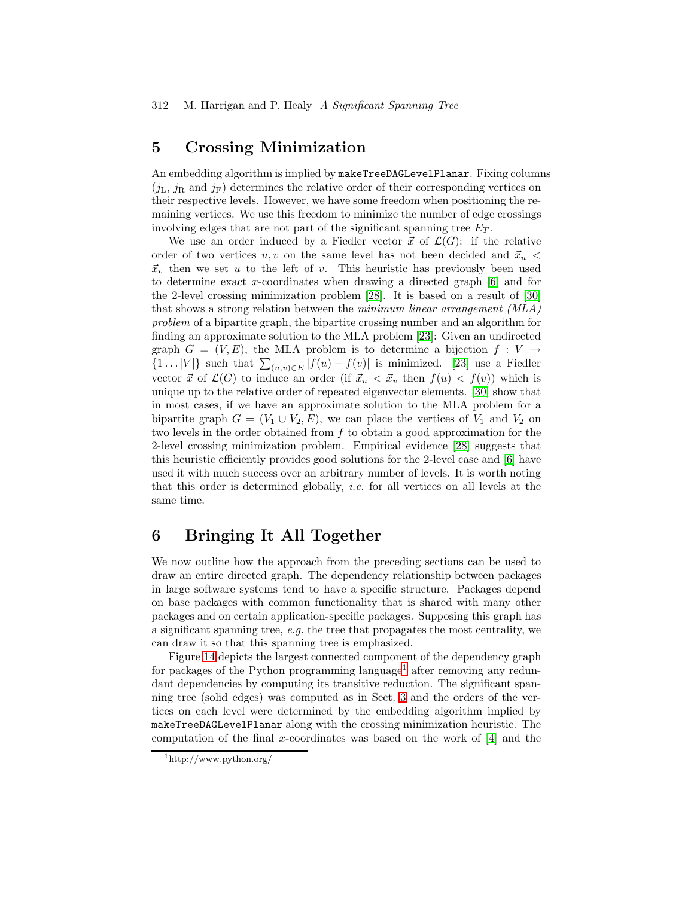## <span id="page-19-0"></span>5 Crossing Minimization

An embedding algorithm is implied by makeTreeDAGLevelPlanar. Fixing columns  $(j_L, j_R$  and  $j_F$ ) determines the relative order of their corresponding vertices on their respective levels. However, we have some freedom when positioning the remaining vertices. We use this freedom to minimize the number of edge crossings involving edges that are not part of the significant spanning tree  $E_T$ .

We use an order induced by a Fiedler vector  $\vec{x}$  of  $\mathcal{L}(G)$ : if the relative order of two vertices  $u, v$  on the same level has not been decided and  $\vec{x}_u$  <  $\vec{x}_v$  then we set u to the left of v. This heuristic has previously been used to determine exact x-coordinates when drawing a directed graph [\[6\]](#page-22-11) and for the 2-level crossing minimization problem [\[28\]](#page-24-4). It is based on a result of [\[30\]](#page-24-5) that shows a strong relation between the minimum linear arrangement (MLA) problem of a bipartite graph, the bipartite crossing number and an algorithm for finding an approximate solution to the MLA problem [\[23\]](#page-23-13): Given an undirected graph  $G = (V, E)$ , the MLA problem is to determine a bijection  $f : V \to$  $\{1 \dots |V|\}$  such that  $\sum_{(u,v)\in E} |f(u) - f(v)|$  is minimized. [\[23\]](#page-23-13) use a Fiedler vector  $\vec{x}$  of  $\mathcal{L}(G)$  to induce an order (if  $\vec{x}_u < \vec{x}_v$  then  $f(u) < f(v)$ ) which is unique up to the relative order of repeated eigenvector elements. [\[30\]](#page-24-5) show that in most cases, if we have an approximate solution to the MLA problem for a bipartite graph  $G = (V_1 \cup V_2, E)$ , we can place the vertices of  $V_1$  and  $V_2$  on two levels in the order obtained from f to obtain a good approximation for the 2-level crossing minimization problem. Empirical evidence [\[28\]](#page-24-4) suggests that this heuristic efficiently provides good solutions for the 2-level case and [\[6\]](#page-22-11) have used it with much success over an arbitrary number of levels. It is worth noting that this order is determined globally, i.e. for all vertices on all levels at the same time.

## <span id="page-19-1"></span>6 Bringing It All Together

We now outline how the approach from the preceding sections can be used to draw an entire directed graph. The dependency relationship between packages in large software systems tend to have a specific structure. Packages depend on base packages with common functionality that is shared with many other packages and on certain application-specific packages. Supposing this graph has a significant spanning tree, e.g. the tree that propagates the most centrality, we can draw it so that this spanning tree is emphasized.

Figure [14](#page-20-1) depicts the largest connected component of the dependency graph for packages of the Python programming language<sup>[1](#page-19-2)</sup> after removing any redundant dependencies by computing its transitive reduction. The significant spanning tree (solid edges) was computed as in Sect. [3](#page-3-0) and the orders of the vertices on each level were determined by the embedding algorithm implied by makeTreeDAGLevelPlanar along with the crossing minimization heuristic. The computation of the final x-coordinates was based on the work of  $[4]$  and the

<span id="page-19-2"></span><sup>1</sup>http://www.python.org/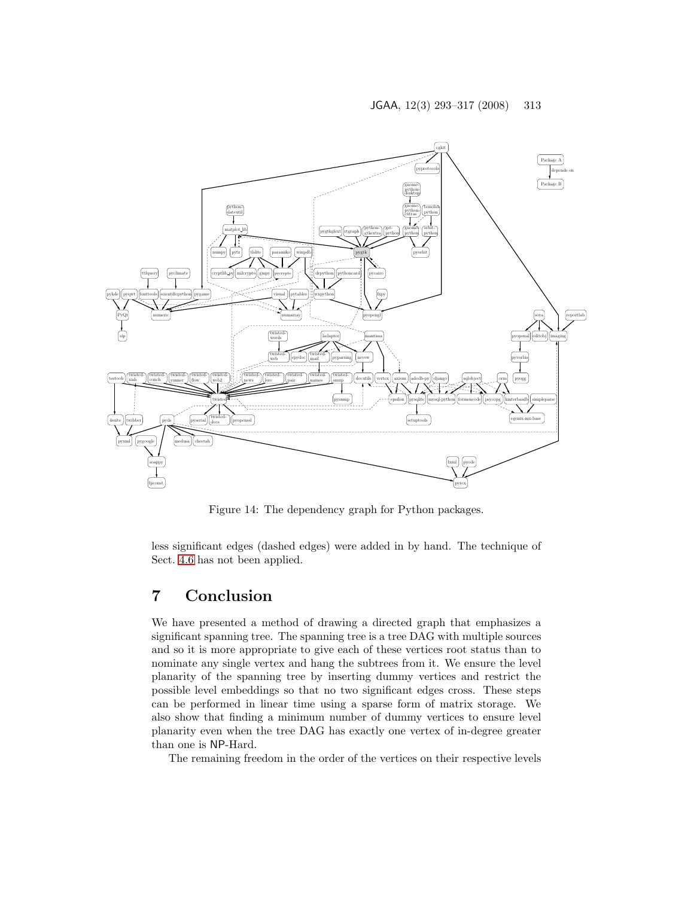

<span id="page-20-1"></span>Figure 14: The dependency graph for Python packages.

less significant edges (dashed edges) were added in by hand. The technique of Sect. [4.6](#page-16-0) has not been applied.

## <span id="page-20-0"></span>7 Conclusion

We have presented a method of drawing a directed graph that emphasizes a significant spanning tree. The spanning tree is a tree DAG with multiple sources and so it is more appropriate to give each of these vertices root status than to nominate any single vertex and hang the subtrees from it. We ensure the level planarity of the spanning tree by inserting dummy vertices and restrict the possible level embeddings so that no two significant edges cross. These steps can be performed in linear time using a sparse form of matrix storage. We also show that finding a minimum number of dummy vertices to ensure level planarity even when the tree DAG has exactly one vertex of in-degree greater than one is NP-Hard.

The remaining freedom in the order of the vertices on their respective levels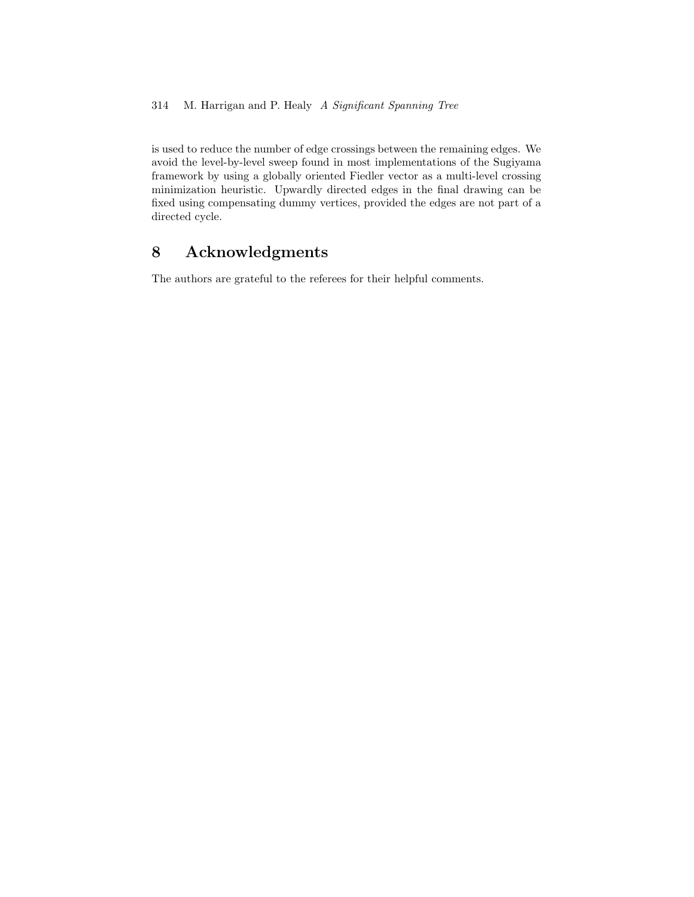is used to reduce the number of edge crossings between the remaining edges. We avoid the level-by-level sweep found in most implementations of the Sugiyama framework by using a globally oriented Fiedler vector as a multi-level crossing minimization heuristic. Upwardly directed edges in the final drawing can be fixed using compensating dummy vertices, provided the edges are not part of a directed cycle.

# 8 Acknowledgments

The authors are grateful to the referees for their helpful comments.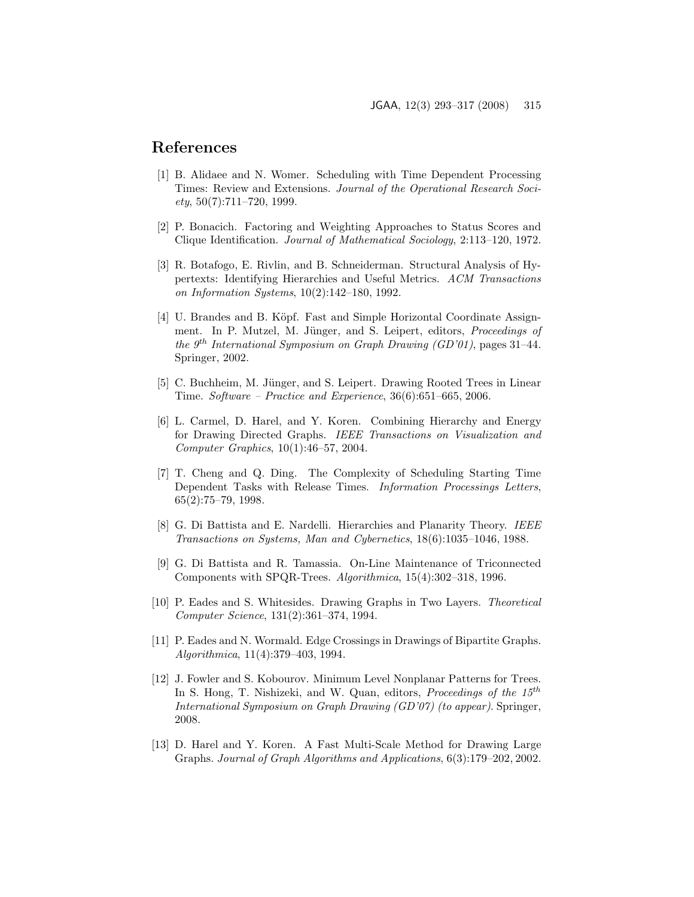## <span id="page-22-6"></span>References

- [1] B. Alidaee and N. Womer. Scheduling with Time Dependent Processing Times: Review and Extensions. Journal of the Operational Research Soci $ety, 50(7):711-720, 1999.$
- <span id="page-22-5"></span><span id="page-22-0"></span>[2] P. Bonacich. Factoring and Weighting Approaches to Status Scores and Clique Identification. Journal of Mathematical Sociology, 2:113–120, 1972.
- [3] R. Botafogo, E. Rivlin, and B. Schneiderman. Structural Analysis of Hypertexts: Identifying Hierarchies and Useful Metrics. ACM Transactions on Information Systems, 10(2):142–180, 1992.
- <span id="page-22-12"></span>[4] U. Brandes and B. Köpf. Fast and Simple Horizontal Coordinate Assignment. In P. Mutzel, M. Jünger, and S. Leipert, editors, Proceedings of the  $9^{th}$  International Symposium on Graph Drawing (GD'01), pages 31–44. Springer, 2002.
- <span id="page-22-1"></span>[5] C. Buchheim, M. Jünger, and S. Leipert. Drawing Rooted Trees in Linear Time. Software – Practice and Experience, 36(6):651–665, 2006.
- <span id="page-22-11"></span>[6] L. Carmel, D. Harel, and Y. Koren. Combining Hierarchy and Energy for Drawing Directed Graphs. IEEE Transactions on Visualization and Computer Graphics, 10(1):46–57, 2004.
- <span id="page-22-7"></span>[7] T. Cheng and Q. Ding. The Complexity of Scheduling Starting Time Dependent Tasks with Release Times. Information Processings Letters, 65(2):75–79, 1998.
- <span id="page-22-8"></span>[8] G. Di Battista and E. Nardelli. Hierarchies and Planarity Theory. IEEE Transactions on Systems, Man and Cybernetics, 18(6):1035–1046, 1988.
- <span id="page-22-10"></span>[9] G. Di Battista and R. Tamassia. On-Line Maintenance of Triconnected Components with SPQR-Trees. Algorithmica, 15(4):302–318, 1996.
- <span id="page-22-3"></span>[10] P. Eades and S. Whitesides. Drawing Graphs in Two Layers. Theoretical Computer Science, 131(2):361–374, 1994.
- <span id="page-22-2"></span>[11] P. Eades and N. Wormald. Edge Crossings in Drawings of Bipartite Graphs. Algorithmica, 11(4):379–403, 1994.
- <span id="page-22-9"></span>[12] J. Fowler and S. Kobourov. Minimum Level Nonplanar Patterns for Trees. In S. Hong, T. Nishizeki, and W. Quan, editors, *Proceedings of the 15<sup>th</sup>* International Symposium on Graph Drawing (GD'07) (to appear). Springer, 2008.
- <span id="page-22-4"></span>[13] D. Harel and Y. Koren. A Fast Multi-Scale Method for Drawing Large Graphs. Journal of Graph Algorithms and Applications, 6(3):179–202, 2002.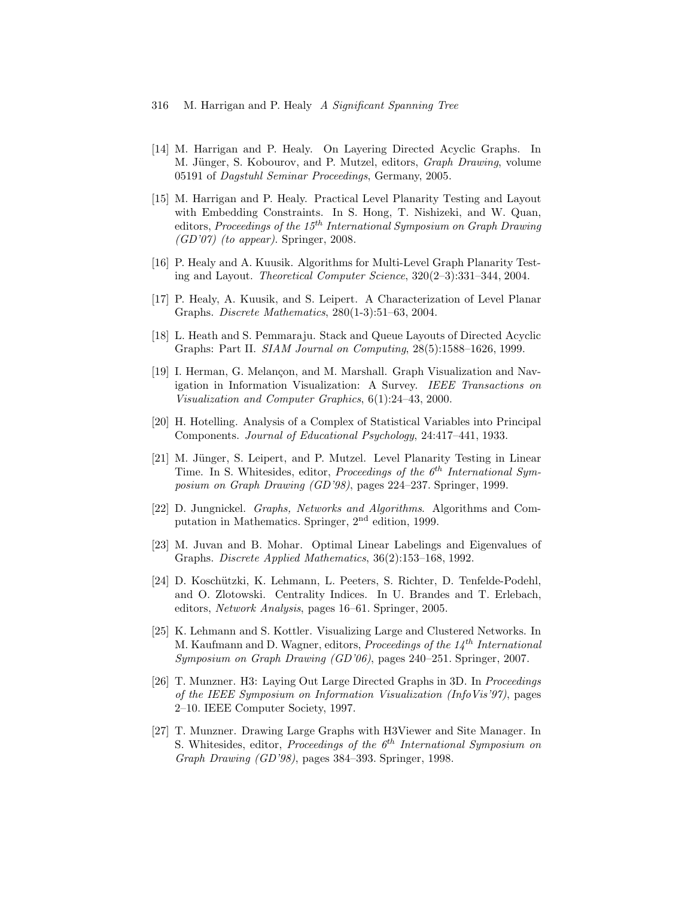#### 316 M. Harrigan and P. Healy A Significant Spanning Tree

- <span id="page-23-12"></span>[14] M. Harrigan and P. Healy. On Layering Directed Acyclic Graphs. In M. Jünger, S. Kobourov, and P. Mutzel, editors, Graph Drawing, volume 05191 of Dagstuhl Seminar Proceedings, Germany, 2005.
- <span id="page-23-10"></span>[15] M. Harrigan and P. Healy. Practical Level Planarity Testing and Layout with Embedding Constraints. In S. Hong, T. Nishizeki, and W. Quan, editors, Proceedings of the  $15^{th}$  International Symposium on Graph Drawing  $(GD'07)$  (to appear). Springer, 2008.
- <span id="page-23-9"></span>[16] P. Healy and A. Kuusik. Algorithms for Multi-Level Graph Planarity Testing and Layout. Theoretical Computer Science, 320(2–3):331–344, 2004.
- <span id="page-23-11"></span>[17] P. Healy, A. Kuusik, and S. Leipert. A Characterization of Level Planar Graphs. Discrete Mathematics, 280(1-3):51–63, 2004.
- <span id="page-23-7"></span>[18] L. Heath and S. Pemmaraju. Stack and Queue Layouts of Directed Acyclic Graphs: Part II. SIAM Journal on Computing, 28(5):1588–1626, 1999.
- <span id="page-23-0"></span>[19] I. Herman, G. Melançon, and M. Marshall. Graph Visualization and Navigation in Information Visualization: A Survey. IEEE Transactions on Visualization and Computer Graphics, 6(1):24–43, 2000.
- <span id="page-23-3"></span>[20] H. Hotelling. Analysis of a Complex of Statistical Variables into Principal Components. Journal of Educational Psychology, 24:417–441, 1933.
- <span id="page-23-8"></span>[21] M. Jünger, S. Leipert, and P. Mutzel. Level Planarity Testing in Linear Time. In S. Whitesides, editor, Proceedings of the  $6<sup>th</sup> International Sym$ posium on Graph Drawing (GD'98), pages 224–237. Springer, 1999.
- <span id="page-23-4"></span>[22] D. Jungnickel. Graphs, Networks and Algorithms. Algorithms and Computation in Mathematics. Springer, 2nd edition, 1999.
- <span id="page-23-13"></span>[23] M. Juvan and B. Mohar. Optimal Linear Labelings and Eigenvalues of Graphs. Discrete Applied Mathematics, 36(2):153–168, 1992.
- <span id="page-23-5"></span>[24] D. Koschützki, K. Lehmann, L. Peeters, S. Richter, D. Tenfelde-Podehl, and O. Zlotowski. Centrality Indices. In U. Brandes and T. Erlebach, editors, Network Analysis, pages 16–61. Springer, 2005.
- <span id="page-23-6"></span>[25] K. Lehmann and S. Kottler. Visualizing Large and Clustered Networks. In M. Kaufmann and D. Wagner, editors, Proceedings of the  $14^{th}$  International Symposium on Graph Drawing (GD'06), pages 240–251. Springer, 2007.
- <span id="page-23-1"></span>[26] T. Munzner. H3: Laying Out Large Directed Graphs in 3D. In Proceedings of the IEEE Symposium on Information Visualization (InfoVis'97), pages 2–10. IEEE Computer Society, 1997.
- <span id="page-23-2"></span>[27] T. Munzner. Drawing Large Graphs with H3Viewer and Site Manager. In S. Whitesides, editor, Proceedings of the  $6<sup>th</sup> International Symposium on$ Graph Drawing (GD'98), pages 384–393. Springer, 1998.